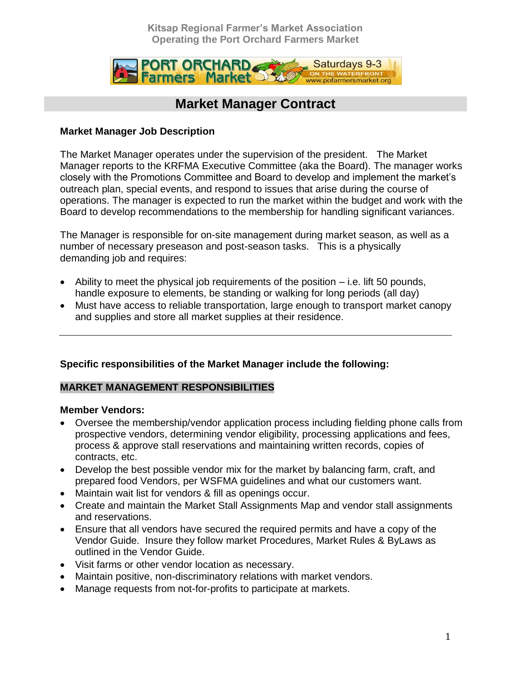**Kitsap Regional Farmer's Market Association Operating the Port Orchard Farmers Market**



## **Market Manager Contract**

#### **Market Manager Job Description**

The Market Manager operates under the supervision of the president. The Market Manager reports to the KRFMA Executive Committee (aka the Board). The manager works closely with the Promotions Committee and Board to develop and implement the market's outreach plan, special events, and respond to issues that arise during the course of operations. The manager is expected to run the market within the budget and work with the Board to develop recommendations to the membership for handling significant variances.

The Manager is responsible for on-site management during market season, as well as a number of necessary preseason and post-season tasks. This is a physically demanding job and requires:

- $\bullet$  Ability to meet the physical job requirements of the position  $-$  i.e. lift 50 pounds, handle exposure to elements, be standing or walking for long periods (all day)
- Must have access to reliable transportation, large enough to transport market canopy and supplies and store all market supplies at their residence.

#### **Specific responsibilities of the Market Manager include the following:**

#### **MARKET MANAGEMENT RESPONSIBILITIES**

#### **Member Vendors:**

- Oversee the membership/vendor application process including fielding phone calls from prospective vendors, determining vendor eligibility, processing applications and fees, process & approve stall reservations and maintaining written records, copies of contracts, etc.
- Develop the best possible vendor mix for the market by balancing farm, craft, and prepared food Vendors, per WSFMA guidelines and what our customers want.
- Maintain wait list for vendors & fill as openings occur.
- Create and maintain the Market Stall Assignments Map and vendor stall assignments and reservations.
- Ensure that all vendors have secured the required permits and have a copy of the Vendor Guide. Insure they follow market Procedures, Market Rules & ByLaws as outlined in the Vendor Guide.
- Visit farms or other vendor location as necessary.
- Maintain positive, non-discriminatory relations with market vendors.
- Manage requests from not-for-profits to participate at markets.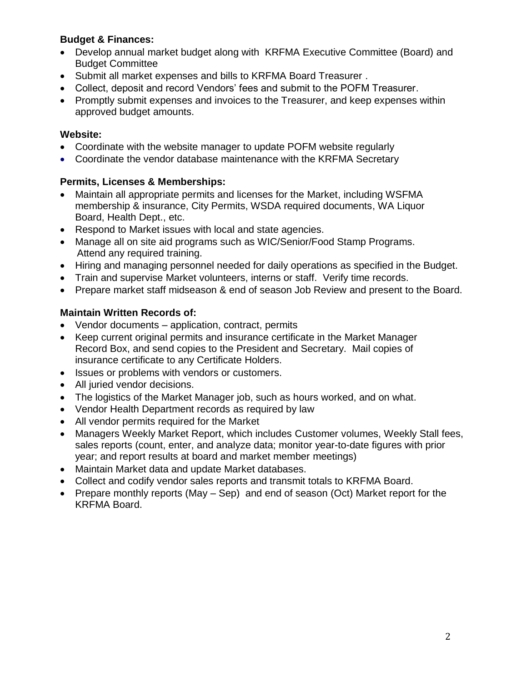## **Budget & Finances:**

- Develop annual market budget along with KRFMA Executive Committee (Board) and Budget Committee
- Submit all market expenses and bills to KRFMA Board Treasurer .
- Collect, deposit and record Vendors' fees and submit to the POFM Treasurer.
- Promptly submit expenses and invoices to the Treasurer, and keep expenses within approved budget amounts.

### **Website:**

- Coordinate with the website manager to update POFM website regularly
- Coordinate the vendor database maintenance with the KRFMA Secretary

## **Permits, Licenses & Memberships:**

- Maintain all appropriate permits and licenses for the Market, including WSFMA membership & insurance, City Permits, WSDA required documents, WA Liquor Board, Health Dept., etc.
- Respond to Market issues with local and state agencies.
- Manage all on site aid programs such as WIC/Senior/Food Stamp Programs. Attend any required training.
- Hiring and managing personnel needed for daily operations as specified in the Budget.
- Train and supervise Market volunteers, interns or staff. Verify time records.
- Prepare market staff midseason & end of season Job Review and present to the Board.

## **Maintain Written Records of:**

- Vendor documents application, contract, permits
- Keep current original permits and insurance certificate in the Market Manager Record Box, and send copies to the President and Secretary. Mail copies of insurance certificate to any Certificate Holders.
- Issues or problems with vendors or customers.
- All juried vendor decisions.
- The logistics of the Market Manager job, such as hours worked, and on what.
- Vendor Health Department records as required by law
- All vendor permits required for the Market
- Managers Weekly Market Report, which includes Customer volumes, Weekly Stall fees, sales reports (count, enter, and analyze data; monitor year-to-date figures with prior year; and report results at board and market member meetings)
- Maintain Market data and update Market databases.
- Collect and codify vendor sales reports and transmit totals to KRFMA Board.
- Prepare monthly reports (May  $-$  Sep) and end of season (Oct) Market report for the KRFMA Board.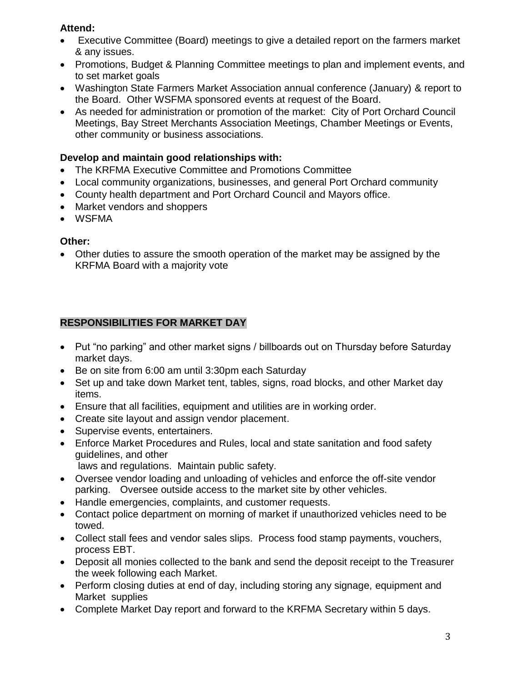## **Attend:**

- Executive Committee (Board) meetings to give a detailed report on the farmers market & any issues.
- Promotions, Budget & Planning Committee meetings to plan and implement events, and to set market goals
- Washington State Farmers Market Association annual conference (January) & report to the Board. Other WSFMA sponsored events at request of the Board.
- As needed for administration or promotion of the market: City of Port Orchard Council Meetings, Bay Street Merchants Association Meetings, Chamber Meetings or Events, other community or business associations.

## **Develop and maintain good relationships with:**

- The KRFMA Executive Committee and Promotions Committee
- Local community organizations, businesses, and general Port Orchard community
- County health department and Port Orchard Council and Mayors office.
- Market vendors and shoppers
- WSFMA

## **Other:**

 Other duties to assure the smooth operation of the market may be assigned by the KRFMA Board with a majority vote

## **RESPONSIBILITIES FOR MARKET DAY**

- Put "no parking" and other market signs / billboards out on Thursday before Saturday market days.
- Be on site from 6:00 am until 3:30pm each Saturday
- Set up and take down Market tent, tables, signs, road blocks, and other Market day items.
- Ensure that all facilities, equipment and utilities are in working order.
- Create site layout and assign vendor placement.
- Supervise events, entertainers.
- Enforce Market Procedures and Rules, local and state sanitation and food safety guidelines, and other

laws and regulations. Maintain public safety.

- Oversee vendor loading and unloading of vehicles and enforce the off-site vendor parking. Oversee outside access to the market site by other vehicles.
- Handle emergencies, complaints, and customer requests.
- Contact police department on morning of market if unauthorized vehicles need to be towed.
- Collect stall fees and vendor sales slips. Process food stamp payments, vouchers, process EBT.
- Deposit all monies collected to the bank and send the deposit receipt to the Treasurer the week following each Market.
- Perform closing duties at end of day, including storing any signage, equipment and Market supplies
- Complete Market Day report and forward to the KRFMA Secretary within 5 days.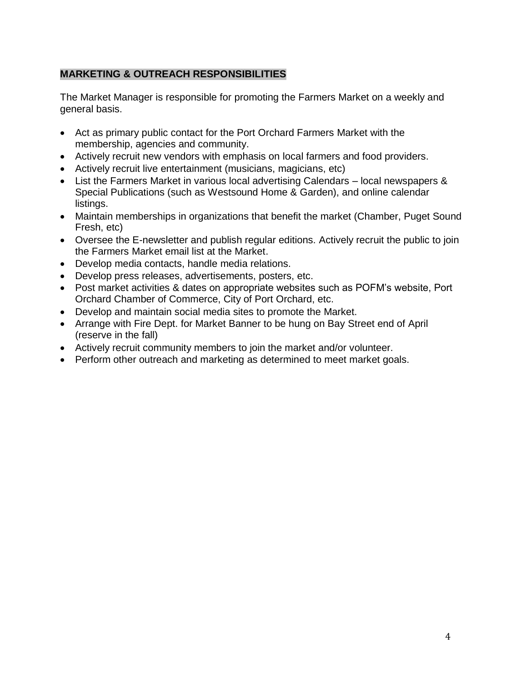## **MARKETING & OUTREACH RESPONSIBILITIES**

The Market Manager is responsible for promoting the Farmers Market on a weekly and general basis.

- Act as primary public contact for the Port Orchard Farmers Market with the membership, agencies and community.
- Actively recruit new vendors with emphasis on local farmers and food providers.
- Actively recruit live entertainment (musicians, magicians, etc)
- List the Farmers Market in various local advertising Calendars local newspapers & Special Publications (such as Westsound Home & Garden), and online calendar listings.
- Maintain memberships in organizations that benefit the market (Chamber, Puget Sound Fresh, etc)
- Oversee the E-newsletter and publish regular editions. Actively recruit the public to join the Farmers Market email list at the Market.
- Develop media contacts, handle media relations.
- Develop press releases, advertisements, posters, etc.
- Post market activities & dates on appropriate websites such as POFM's website, Port Orchard Chamber of Commerce, City of Port Orchard, etc.
- Develop and maintain social media sites to promote the Market.
- Arrange with Fire Dept. for Market Banner to be hung on Bay Street end of April (reserve in the fall)
- Actively recruit community members to join the market and/or volunteer.
- Perform other outreach and marketing as determined to meet market goals.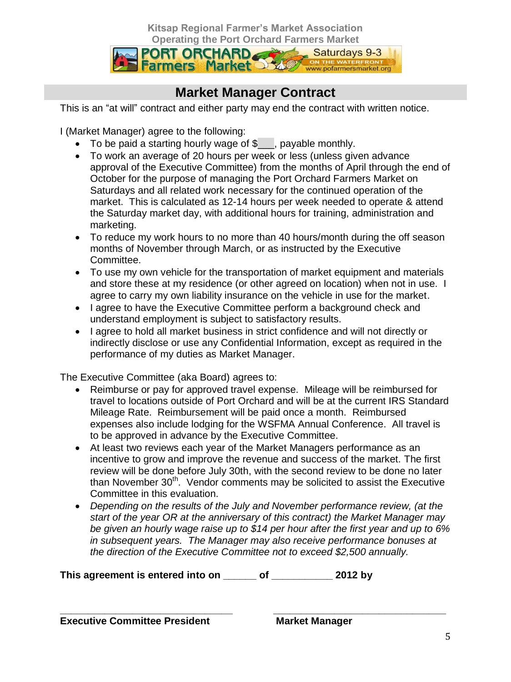**Kitsap Regional Farmer's Market Association**



# **Market Manager Contract**

This is an "at will" contract and either party may end the contract with written notice.

I (Market Manager) agree to the following:

- To be paid a starting hourly wage of \$<sub>1,</sub> payable monthly.
- To work an average of 20 hours per week or less (unless given advance approval of the Executive Committee) from the months of April through the end of October for the purpose of managing the Port Orchard Farmers Market on Saturdays and all related work necessary for the continued operation of the market. This is calculated as 12-14 hours per week needed to operate & attend the Saturday market day, with additional hours for training, administration and marketing.
- To reduce my work hours to no more than 40 hours/month during the off season months of November through March, or as instructed by the Executive Committee.
- To use my own vehicle for the transportation of market equipment and materials and store these at my residence (or other agreed on location) when not in use. I agree to carry my own liability insurance on the vehicle in use for the market.
- I agree to have the Executive Committee perform a background check and understand employment is subject to satisfactory results.
- I agree to hold all market business in strict confidence and will not directly or indirectly disclose or use any Confidential Information, except as required in the performance of my duties as Market Manager.

The Executive Committee (aka Board) agrees to:

- Reimburse or pay for approved travel expense. Mileage will be reimbursed for travel to locations outside of Port Orchard and will be at the current IRS Standard Mileage Rate. Reimbursement will be paid once a month. Reimbursed expenses also include lodging for the WSFMA Annual Conference. All travel is to be approved in advance by the Executive Committee.
- At least two reviews each year of the Market Managers performance as an incentive to grow and improve the revenue and success of the market. The first review will be done before July 30th, with the second review to be done no later than November 30<sup>th</sup>. Vendor comments may be solicited to assist the Executive Committee in this evaluation.
- *Depending on the results of the July and November performance review, (at the start of the year OR at the anniversary of this contract) the Market Manager may be given an hourly wage raise up to \$14 per hour after the first year and up to 6% in subsequent years. The Manager may also receive performance bonuses at the direction of the Executive Committee not to exceed \$2,500 annually.*

**This agreement is entered into on \_\_\_\_\_\_ of \_\_\_\_\_\_\_\_\_\_\_ 2012 by**

**\_\_\_\_\_\_\_\_\_\_\_\_\_\_\_\_\_\_\_\_\_\_\_\_\_\_\_\_\_\_\_ \_\_\_\_\_\_\_\_\_\_\_\_\_\_\_\_\_\_\_\_\_\_\_\_\_\_\_\_\_\_\_ Executive Committee President Market Manager**